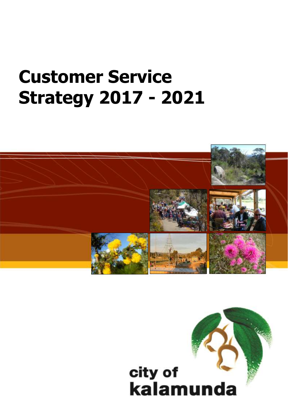# **Customer Service Strategy 2017 - 2021**



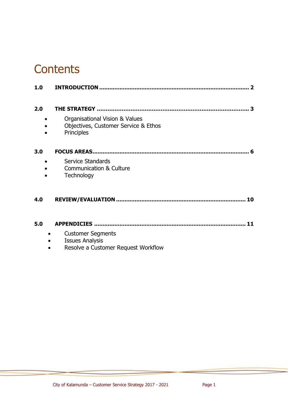# **Contents**

| 1.0 |                                                                                           |  |
|-----|-------------------------------------------------------------------------------------------|--|
|     |                                                                                           |  |
| 2.0 |                                                                                           |  |
|     | Organisational Vision & Values<br>Objectives, Customer Service & Ethos<br>Principles      |  |
| 3.0 |                                                                                           |  |
|     | Service Standards<br><b>Communication &amp; Culture</b><br>Technology                     |  |
| 4.0 |                                                                                           |  |
| 5.0 | 11                                                                                        |  |
|     | <b>Customer Segments</b><br><b>Issues Analysis</b><br>Resolve a Customer Request Workflow |  |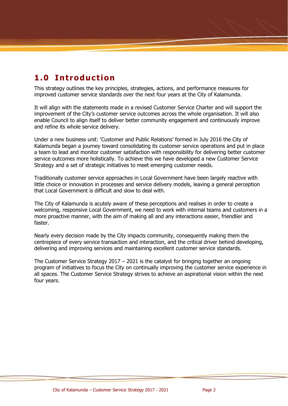# **1.0 Introduction**

This strategy outlines the key principles, strategies, actions, and performance measures for improved customer service standards over the next four years at the City of Kalamunda.

It will align with the statements made in a revised Customer Service Charter and will support the improvement of the City's customer service outcomes across the whole organisation. It will also enable Council to align itself to deliver better community engagement and continuously improve and refine its whole service delivery.

Under a new business unit: 'Customer and Public Relations' formed in July 2016 the City of Kalamunda began a journey toward consolidating its customer service operations and put in place a team to lead and monitor customer satisfaction with responsibility for delivering better customer service outcomes more holistically. To achieve this we have developed a new Customer Service Strategy and a set of strategic initiatives to meet emerging customer needs.

Traditionally customer service approaches in Local Government have been largely reactive with little choice or innovation in processes and service delivery models, leaving a general perception that Local Government is difficult and slow to deal with.

The City of Kalamunda is acutely aware of these perceptions and realises in order to create a welcoming, responsive Local Government, we need to work with internal teams and customers in a more proactive manner, with the aim of making all and any interactions easier, friendlier and faster.

Nearly every decision made by the City impacts community, consequently making them the centrepiece of every service transaction and interaction, and the critical driver behind developing, delivering and improving services and maintaining excellent customer service standards.

The Customer Service Strategy 2017 – 2021 is the catalyst for bringing together an ongoing program of initiatives to focus the City on continually improving the customer service experience in all spaces. The Customer Service Strategy strives to achieve an aspirational vision within the next four years.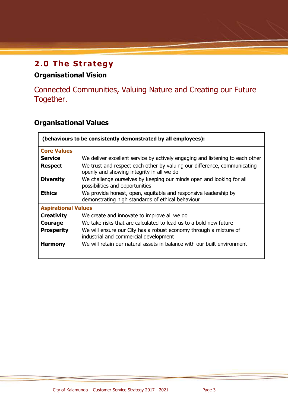# **2.0 The Strategy**

# **Organisational Vision**

Connected Communities, Valuing Nature and Creating our Future Together.

# **Organisational Values**

| (behaviours to be consistently demonstrated by all employees):                                                              |                                                                                                                       |  |  |  |
|-----------------------------------------------------------------------------------------------------------------------------|-----------------------------------------------------------------------------------------------------------------------|--|--|--|
| <b>Core Values</b>                                                                                                          |                                                                                                                       |  |  |  |
| <b>Service</b>                                                                                                              | We deliver excellent service by actively engaging and listening to each other                                         |  |  |  |
| <b>Respect</b>                                                                                                              | We trust and respect each other by valuing our difference, communicating<br>openly and showing integrity in all we do |  |  |  |
| We challenge ourselves by keeping our minds open and looking for all<br><b>Diversity</b><br>possibilities and opportunities |                                                                                                                       |  |  |  |
| <b>Ethics</b>                                                                                                               | We provide honest, open, equitable and responsive leadership by<br>demonstrating high standards of ethical behaviour  |  |  |  |
| <b>Aspirational Values</b>                                                                                                  |                                                                                                                       |  |  |  |
| <b>Creativity</b>                                                                                                           | We create and innovate to improve all we do                                                                           |  |  |  |
| Courage                                                                                                                     | We take risks that are calculated to lead us to a bold new future                                                     |  |  |  |
| <b>Prosperity</b>                                                                                                           | We will ensure our City has a robust economy through a mixture of<br>industrial and commercial development            |  |  |  |
| <b>Harmony</b>                                                                                                              | We will retain our natural assets in balance with our built environment                                               |  |  |  |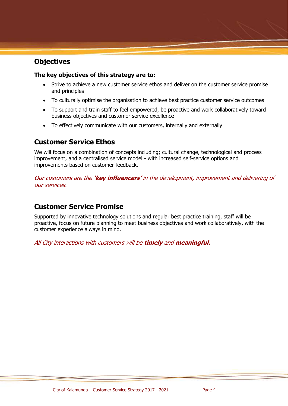## **Objectives**

## **The key objectives of this strategy are to:**

- Strive to achieve a new customer service ethos and deliver on the customer service promise and principles
- To culturally optimise the organisation to achieve best practice customer service outcomes
- To support and train staff to feel empowered, be proactive and work collaboratively toward business objectives and customer service excellence
- To effectively communicate with our customers, internally and externally

## **Customer Service Ethos**

We will focus on a combination of concepts including; cultural change, technological and process improvement, and a centralised service model - with increased self-service options and improvements based on customer feedback.

Our customers are the **'key influencers'** in the development, improvement and delivering of our services.

## **Customer Service Promise**

Supported by innovative technology solutions and regular best practice training, staff will be proactive, focus on future planning to meet business objectives and work collaboratively, with the customer experience always in mind.

All City interactions with customers will be **timely** and **meaningful.**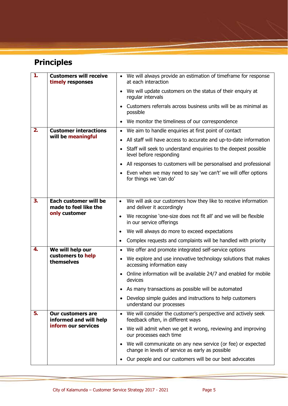# **Principles**

| 1. | <b>Customers will receive</b><br>timely responses  | • We will always provide an estimation of timeframe for response<br>at each interaction                                      |
|----|----------------------------------------------------|------------------------------------------------------------------------------------------------------------------------------|
|    |                                                    | • We will update customers on the status of their enquiry at<br>regular intervals                                            |
|    |                                                    | Customers referrals across business units will be as minimal as<br>possible                                                  |
|    |                                                    | We monitor the timeliness of our correspondence                                                                              |
| 2. | <b>Customer interactions</b>                       | We aim to handle enquiries at first point of contact<br>$\bullet$                                                            |
|    | will be meaningful                                 | All staff will have access to accurate and up-to-date information<br>$\bullet$                                               |
|    |                                                    | Staff will seek to understand enquiries to the deepest possible<br>$\bullet$<br>level before responding                      |
|    |                                                    | All responses to customers will be personalised and professional<br>$\bullet$                                                |
|    |                                                    | Even when we may need to say 'we can't' we will offer options<br>for things we 'can do'                                      |
|    |                                                    |                                                                                                                              |
| 3. | Each customer will be<br>made to feel like the     | We will ask our customers how they like to receive information<br>$\bullet$<br>and deliver it accordingly                    |
|    | only customer                                      | We recognise 'one-size does not fit all' and we will be flexible<br>$\bullet$<br>in our service offerings                    |
|    |                                                    | We will always do more to exceed expectations<br>$\bullet$                                                                   |
|    |                                                    | Complex requests and complaints will be handled with priority<br>$\bullet$                                                   |
| 4. | We will help our                                   | We offer and promote integrated self-service options<br>$\bullet$                                                            |
|    | customers to help<br>themselves                    | We explore and use innovative technology solutions that makes<br>accessing information easy                                  |
|    |                                                    | Online information will be available 24/7 and enabled for mobile<br>$\bullet$<br>devices                                     |
|    |                                                    | As many transactions as possible will be automated                                                                           |
|    |                                                    | Develop simple guides and instructions to help customers<br>$\bullet$<br>understand our processes                            |
| 5. | <b>Our customers are</b><br>informed and will help | We will consider the customer's perspective and actively seek<br>$\bullet$<br>feedback often, in different ways              |
|    | inform our services                                | We will admit when we get it wrong, reviewing and improving<br>$\bullet$<br>our processes each time                          |
|    |                                                    | We will communicate on any new service (or fee) or expected<br>$\bullet$<br>change in levels of service as early as possible |
|    |                                                    | Our people and our customers will be our best advocates                                                                      |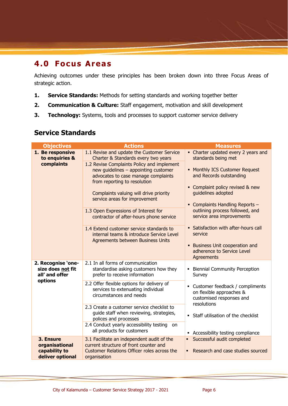# **4.0 Focus Areas**

Achieving outcomes under these principles has been broken down into three Focus Areas of strategic action.

- **1. Service Standards:** Methods for setting standards and working together better
- **2. Communication & Culture:** Staff engagement, motivation and skill development
- **3. Technology:** Systems, tools and processes to support customer service delivery

## **Service Standards**

| <b>Objectives</b>                                                | <b>Actions</b>                                                                                                                                                                                                                                                                                                                                                                                                  | <b>Measures</b>                                                                                                                                                                                                                                                           |
|------------------------------------------------------------------|-----------------------------------------------------------------------------------------------------------------------------------------------------------------------------------------------------------------------------------------------------------------------------------------------------------------------------------------------------------------------------------------------------------------|---------------------------------------------------------------------------------------------------------------------------------------------------------------------------------------------------------------------------------------------------------------------------|
| 1. Be responsive<br>to enquiries &                               | 1.1 Revise and update the Customer Service<br>Charter & Standards every two years                                                                                                                                                                                                                                                                                                                               | • Charter updated every 2 years and<br>standards being met                                                                                                                                                                                                                |
| complaints                                                       | 1.2 Revise Complaints Policy and implement<br>new guidelines - appointing customer<br>advocates to case manage complaints<br>from reporting to resolution<br>Complaints valuing will drive priority<br>service areas for improvement<br>1.3 Open Expressions of Interest for<br>contractor of after-hours phone service<br>1.4 Extend customer service standards to<br>internal teams & introduce Service Level | • Monthly ICS Customer Request<br>and Records outstanding<br>• Complaint policy revised & new<br>quidelines adopted<br>• Complaints Handling Reports -<br>outlining process followed, and<br>service area improvements<br>• Satisfaction with after-hours call<br>service |
|                                                                  | Agreements between Business Units                                                                                                                                                                                                                                                                                                                                                                               | <b>Business Unit cooperation and</b><br>٠<br>adherence to Service Level<br>Agreements                                                                                                                                                                                     |
| 2. Recognise 'one-<br>size does not fit<br>all' and offer        | 2.1 In all forms of communication<br>standardise asking customers how they<br>prefer to receive information                                                                                                                                                                                                                                                                                                     | <b>Biennial Community Perception</b><br>٠<br>Survey                                                                                                                                                                                                                       |
| options                                                          | 2.2 Offer flexible options for delivery of<br>services to extenuating individual<br>circumstances and needs                                                                                                                                                                                                                                                                                                     | • Customer feedback / compliments<br>on flexible approaches &<br>customised responses and<br>resolutions                                                                                                                                                                  |
|                                                                  | 2.3 Create a customer service checklist to<br>guide staff when reviewing, strategies,<br>polices and processes                                                                                                                                                                                                                                                                                                  | • Staff utilisation of the checklist                                                                                                                                                                                                                                      |
|                                                                  | 2.4 Conduct yearly accessibility testing on<br>all products for customers                                                                                                                                                                                                                                                                                                                                       | • Accessibility testing compliance                                                                                                                                                                                                                                        |
| 3. Ensure<br>organisational<br>capability to<br>deliver optional | 3.1 Facilitate an independent audit of the<br>current structure of front counter and<br>Customer Relations Officer roles across the<br>organisation                                                                                                                                                                                                                                                             | Successful audit completed<br>$\blacksquare$<br>Research and case studies sourced                                                                                                                                                                                         |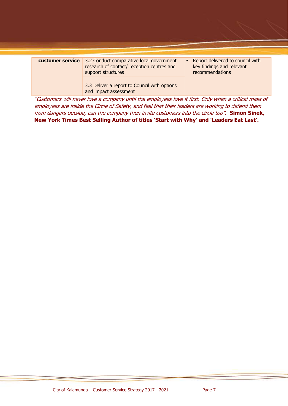| customer service | 3.2 Conduct comparative local government<br>research of contact/ reception centres and<br>support structures | Report delivered to council with<br>key findings and relevant<br>recommendations |
|------------------|--------------------------------------------------------------------------------------------------------------|----------------------------------------------------------------------------------|
|                  | 3.3 Deliver a report to Council with options<br>and impact assessment                                        |                                                                                  |

"Customers will never love a company until the employees love it first. Only when a critical mass of employees are inside the Circle of Safety, and feel that their leaders are working to defend them from dangers outside, can the company then invite customers into the circle too". **Simon Sinek, New York Times Best Selling Author of titles 'Start with Why' and 'Leaders Eat Last'.**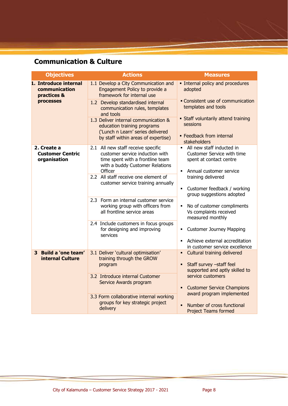# **Communication & Culture**

| <b>Objectives</b>                                      | <b>Actions</b>                                                                                                                                          | <b>Measures</b>                                                                                                                                   |
|--------------------------------------------------------|---------------------------------------------------------------------------------------------------------------------------------------------------------|---------------------------------------------------------------------------------------------------------------------------------------------------|
| 1. Introduce internal<br>communication<br>practices &  | 1.1 Develop a City Communication and<br>Engagement Policy to provide a<br>framework for internal use                                                    | · Internal policy and procedures<br>adopted                                                                                                       |
| processes                                              | 1.2 Develop standardised internal<br>communication rules, templates<br>and tools                                                                        | • Consistent use of communication<br>templates and tools                                                                                          |
|                                                        | 1.3 Deliver internal communication &<br>education training programs<br>('Lunch n Learn' series delivered                                                | • Staff voluntarily attend training<br>sessions                                                                                                   |
|                                                        | by staff within areas of expertise)                                                                                                                     | • Feedback from internal<br>stakeholders                                                                                                          |
| 2. Create a<br><b>Customer Centric</b><br>organisation | 2.1 All new staff receive specific<br>customer service induction with<br>time spent with a frontline team<br>with a buddy Customer Relations<br>Officer | All new staff inducted in<br>$\blacksquare$<br>Customer Service with time<br>spent at contact centre<br>Annual customer service<br>$\blacksquare$ |
|                                                        | 2.2 All staff receive one element of<br>customer service training annually                                                                              | training delivered<br>Customer feedback / working<br>$\blacksquare$<br>group suggestions adopted                                                  |
|                                                        | 2.3 Form an internal customer service<br>working group with officers from<br>all frontline service areas                                                | No of customer compliments<br>Vs complaints received<br>measured monthly                                                                          |
|                                                        | 2.4 Include customers in focus groups<br>for designing and improving<br>services                                                                        | <b>Customer Journey Mapping</b>                                                                                                                   |
|                                                        |                                                                                                                                                         | Achieve external accreditation<br>$\blacksquare$<br>in customer service excellence                                                                |
| <b>Build a 'one team'</b><br>3<br>internal Culture     | 3.1 Deliver 'cultural optimisation'<br>training through the GROW<br>program                                                                             | Cultural training delivered<br>٠<br>Staff survey -staff feel<br>supported and aptly skilled to                                                    |
|                                                        | 3.2 Introduce internal Customer<br>Service Awards program                                                                                               | service customers                                                                                                                                 |
|                                                        | 3.3 Form collaborative internal working                                                                                                                 | <b>Customer Service Champions</b><br>award program implemented                                                                                    |
|                                                        | groups for key strategic project<br>delivery                                                                                                            | Number of cross functional<br><b>Project Teams formed</b>                                                                                         |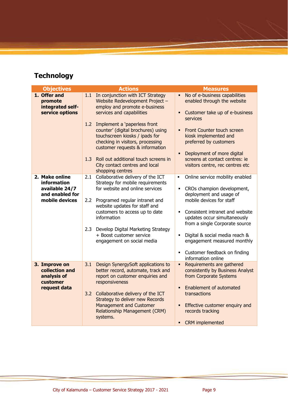# **Technology**

| <b>Objectives</b>                                                                    | <b>Actions</b>                                                                                                                                                                                                                                                                                                                              | <b>Measures</b>                                                                                                                                                                                                                                                                                                                                                |
|--------------------------------------------------------------------------------------|---------------------------------------------------------------------------------------------------------------------------------------------------------------------------------------------------------------------------------------------------------------------------------------------------------------------------------------------|----------------------------------------------------------------------------------------------------------------------------------------------------------------------------------------------------------------------------------------------------------------------------------------------------------------------------------------------------------------|
| 1. Offer and<br>promote<br>integrated self-<br>service options                       | 1.1 In conjunction with ICT Strategy<br>Website Redevelopment Project -<br>employ and promote e-business<br>services and capabilities                                                                                                                                                                                                       | No of e-business capabilities<br>enabled through the website<br>Customer take up of e-business                                                                                                                                                                                                                                                                 |
|                                                                                      | 1.2 Implement a 'paperless front<br>counter' (digital brochures) using<br>touchscreen kiosks / ipads for<br>checking in visitors, processing<br>customer requests & information<br>1.3<br>Roll out additional touch screens in<br>City contact centres and local                                                                            | services<br>Front Counter touch screen<br>kiosk implemented and<br>preferred by customers<br>Deployment of more digital<br>screens at contact centres: ie<br>visitors centre, rec centres etc                                                                                                                                                                  |
|                                                                                      | shopping centres                                                                                                                                                                                                                                                                                                                            |                                                                                                                                                                                                                                                                                                                                                                |
| 2. Make online<br>information<br>available 24/7<br>and enabled for<br>mobile devices | Collaborative delivery of the ICT<br>2.1<br>Strategy for mobile requirements<br>for website and online services<br>2.2 Programed regular intranet and<br>website updates for staff and<br>customers to access up to date<br>information<br>2.3 Develop Digital Marketing Strategy<br>+ Boost customer service<br>engagement on social media | Online service mobility enabled<br>$\blacksquare$<br>CROs champion development,<br>deployment and usage of<br>mobile devices for staff<br>Consistent intranet and website<br>updates occur simultaneously<br>from a single Corporate source<br>Digital & social media reach &<br>$\blacksquare$<br>engagement measured monthly<br>Customer feedback on finding |
|                                                                                      |                                                                                                                                                                                                                                                                                                                                             | information online                                                                                                                                                                                                                                                                                                                                             |
| 3. Improve on<br>collection and<br>analysis of<br>customer<br>request data           | 3.1<br>Design SynergySoft applications to<br>better record, automate, track and<br>report on customer enquiries and<br>responsiveness<br>3.2 Collaborative delivery of the ICT<br>Strategy to deliver new Records                                                                                                                           | Requirements are gathered<br>consistently by Business Analyst<br>from Corporate Systems<br>Enablement of automated<br>transactions                                                                                                                                                                                                                             |
|                                                                                      | <b>Management and Customer</b><br><b>Relationship Management (CRM)</b><br>systems.                                                                                                                                                                                                                                                          | Effective customer enquiry and<br>records tracking<br><b>CRM</b> implemented<br>$\blacksquare$                                                                                                                                                                                                                                                                 |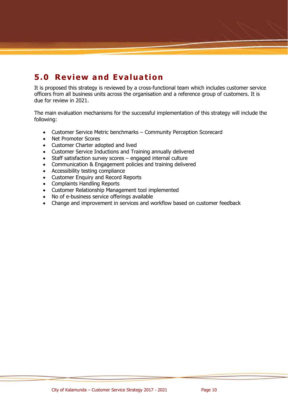# **5.0 Review and Evaluation**

It is proposed this strategy is reviewed by a cross-functional team which includes customer service officers from all business units across the organisation and a reference group of customers. It is due for review in 2021.

The main evaluation mechanisms for the successful implementation of this strategy will include the following:

- Customer Service Metric benchmarks Community Perception Scorecard
- Net Promoter Scores
- Customer Charter adopted and lived
- Customer Service Inductions and Training annually delivered
- Staff satisfaction survey scores engaged internal culture
- Communication & Engagement policies and training delivered
- Accessibility testing compliance
- Customer Enquiry and Record Reports
- Complaints Handling Reports
- Customer Relationship Management tool implemented
- No of e-business service offerings available
- Change and improvement in services and workflow based on customer feedback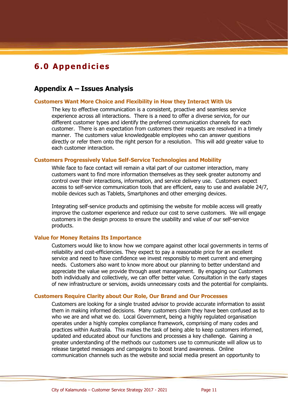# **6.0 Appendicies**

## **Appendix A – Issues Analysis**

## **Customers Want More Choice and Flexibility in How they Interact With Us**

The key to effective communication is a consistent, proactive and seamless service experience across all interactions. There is a need to offer a diverse service, for our different customer types and identify the preferred communication channels for each customer. There is an expectation from customers their requests are resolved in a timely manner. The customers value knowledgeable employees who can answer questions directly or refer them onto the right person for a resolution. This will add greater value to each customer interaction.

#### **Customers Progressively Value Self-Service Technologies and Mobility**

While face to face contact will remain a vital part of our customer interaction, many customers want to find more information themselves as they seek greater autonomy and control over their interactions, information, and service delivery use. Customers expect access to self-service communication tools that are efficient, easy to use and available 24/7, mobile devices such as Tablets, Smartphones and other emerging devices.

Integrating self-service products and optimising the website for mobile access will greatly improve the customer experience and reduce our cost to serve customers. We will engage customers in the design process to ensure the usability and value of our self-service products.

#### **Value for Money Retains Its Importance**

Customers would like to know how we compare against other local governments in terms of reliability and cost-efficiencies. They expect to pay a reasonable price for an excellent service and need to have confidence we invest responsibly to meet current and emerging needs. Customers also want to know more about our planning to better understand and appreciate the value we provide through asset management. By engaging our Customers both individually and collectively, we can offer better value. Consultation in the early stages of new infrastructure or services, avoids unnecessary costs and the potential for complaints.

## **Customers Require Clarity about Our Role, Our Brand and Our Processes**

Customers are looking for a single trusted advisor to provide accurate information to assist them in making informed decisions. Many customers claim they have been confused as to who we are and what we do. Local Government, being a highly regulated organisation operates under a highly complex compliance framework, comprising of many codes and practices within Australia. This makes the task of being able to keep customers informed, updated and educated about our functions and processes a key challenge. Gaining a greater understanding of the methods our customers use to communicate will allow us to release targeted messages and campaigns to boost brand awareness. Online communication channels such as the website and social media present an opportunity to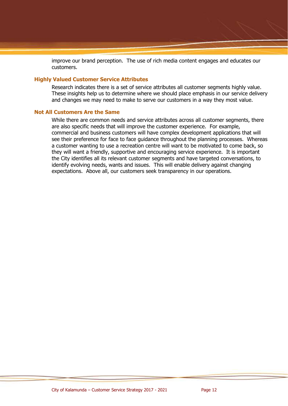improve our brand perception. The use of rich media content engages and educates our customers.

## **Highly Valued Customer Service Attributes**

Research indicates there is a set of service attributes all customer segments highly value. These insights help us to determine where we should place emphasis in our service delivery and changes we may need to make to serve our customers in a way they most value.

#### **Not All Customers Are the Same**

While there are common needs and service attributes across all customer segments, there are also specific needs that will improve the customer experience. For example, commercial and business customers will have complex development applications that will see their preference for face to face guidance throughout the planning processes. Whereas a customer wanting to use a recreation centre will want to be motivated to come back, so they will want a friendly, supportive and encouraging service experience. It is important the City identifies all its relevant customer segments and have targeted conversations, to identify evolving needs, wants and issues. This will enable delivery against changing expectations. Above all, our customers seek transparency in our operations.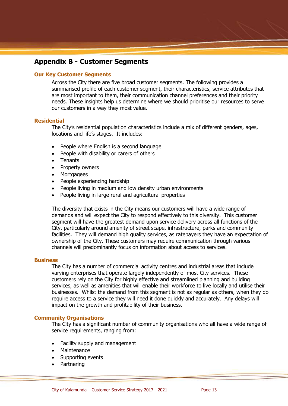## **Appendix B - Customer Segments**

## **Our Key Customer Segments**

Across the City there are five broad customer segments. The following provides a summarised profile of each customer segment, their characteristics, service attributes that are most important to them, their communication channel preferences and their priority needs. These insights help us determine where we should prioritise our resources to serve our customers in a way they most value.

## **Residential**

The City's residential population characteristics include a mix of different genders, ages, locations and life's stages. It includes:

- People where English is a second language
- People with disability or carers of others
- Tenants
- Property owners
- **Mortgagees**
- People experiencing hardship
- People living in medium and low density urban environments
- People living in large rural and agricultural properties

The diversity that exists in the City means our customers will have a wide range of demands and will expect the City to respond effectively to this diversity. This customer segment will have the greatest demand upon service delivery across all functions of the City, particularly around amenity of street scape, infrastructure, parks and community facilities. They will demand high quality services, as ratepayers they have an expectation of ownership of the City. These customers may require communication through various channels will predominantly focus on information about access to services.

#### **Business**

The City has a number of commercial activity centres and industrial areas that include varying enterprises that operate largely independently of most City services. These customers rely on the City for highly effective and streamlined planning and building services, as well as amenities that will enable their workforce to live locally and utilise their businesses. Whilst the demand from this segment is not as regular as others, when they do require access to a service they will need it done quickly and accurately. Any delays will impact on the growth and profitability of their business.

#### **Community Organisations**

The City has a significant number of community organisations who all have a wide range of service requirements, ranging from:

- Facility supply and management
- **Maintenance**
- Supporting events
- **Partnering**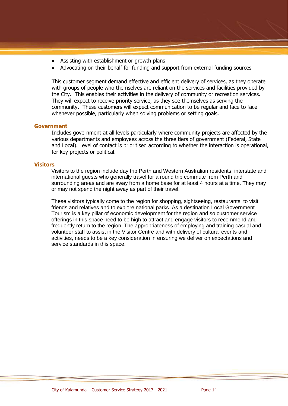- Assisting with establishment or growth plans
- Advocating on their behalf for funding and support from external funding sources

This customer segment demand effective and efficient delivery of services, as they operate with groups of people who themselves are reliant on the services and facilities provided by the City. This enables their activities in the delivery of community or recreation services. They will expect to receive priority service, as they see themselves as serving the community. These customers will expect communication to be regular and face to face whenever possible, particularly when solving problems or setting goals.

## **Government**

Includes government at all levels particularly where community projects are affected by the various departments and employees across the three tiers of government (Federal, State and Local). Level of contact is prioritised according to whether the interaction is operational, for key projects or political.

#### **Visitors**

Visitors to the region include day trip Perth and Western Australian residents, interstate and international guests who generally travel for a round trip commute from Perth and surrounding areas and are away from a home base for at least 4 hours at a time. They may or may not spend the night away as part of their travel.

These visitors typically come to the region for shopping, sightseeing, restaurants, to visit friends and relatives and to explore national parks. As a destination Local Government Tourism is a key pillar of economic development for the region and so customer service offerings in this space need to be high to attract and engage visitors to recommend and frequently return to the region. The appropriateness of employing and training casual and volunteer staff to assist in the Visitor Centre and with delivery of cultural events and activities, needs to be a key consideration in ensuring we deliver on expectations and service standards in this space.